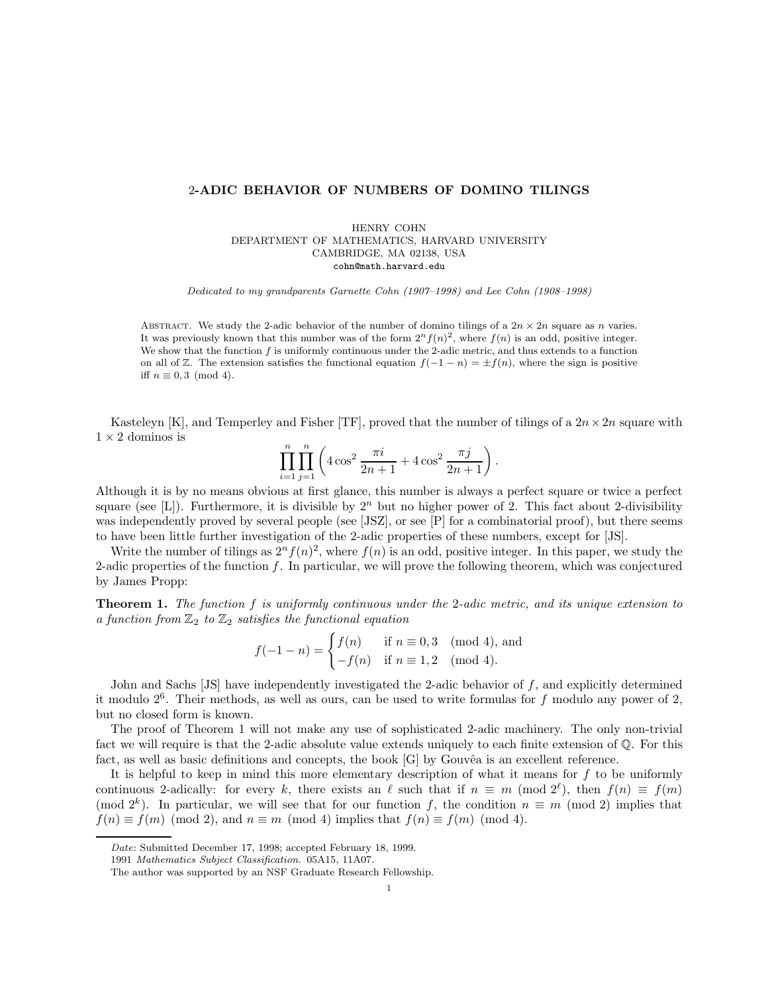## 2**-ADIC BEHAVIOR OF NUMBERS OF DOMINO TILINGS**

HENRY COHN DEPARTMENT OF MATHEMATICS, HARVARD UNIVERSITY CAMBRIDGE, MA 02138, USA cohn@math.harvard.edu

Dedicated to my grandparents Garnette Cohn (1907–1998) and Lee Cohn (1908–1998)

ABSTRACT. We study the 2-adic behavior of the number of domino tilings of a  $2n \times 2n$  square as n varies. It was previously known that this number was of the form  $2^n f(n)^2$ , where  $f(n)$  is an odd, positive integer. We show that the function  $f$  is uniformly continuous under the 2-adic metric, and thus extends to a function on all of  $\mathbb{Z}$ . The extension satisfies the functional equation  $f(-1 - n) = \pm f(n)$ , where the sign is positive iff  $n \equiv 0, 3 \pmod{4}$ .

Kasteleyn [K], and Temperley and Fisher [TF], proved that the number of tilings of a  $2n \times 2n$  square with  $1 \times 2$  dominos is

$$
\prod_{i=1}^{n} \prod_{j=1}^{n} \left( 4 \cos^2 \frac{\pi i}{2n+1} + 4 \cos^2 \frac{\pi j}{2n+1} \right).
$$

Although it is by no means obvious at first glance, this number is always a perfect square or twice a perfect square (see [L]). Furthermore, it is divisible by  $2^n$  but no higher power of 2. This fact about 2-divisibility was independently proved by several people (see [JSZ], or see [P] for a combinatorial proof), but there seems to have been little further investigation of the 2-adic properties of these numbers, except for [JS].

Write the number of tilings as  $2^n f(n)^2$ , where  $f(n)$  is an odd, positive integer. In this paper, we study the 2-adic properties of the function f. In particular, we will prove the following theorem, which was conjectured by James Propp:

**Theorem 1.** The function f is uniformly continuous under the 2-adic metric, and its unique extension to a function from  $\mathbb{Z}_2$  to  $\mathbb{Z}_2$  satisfies the functional equation

$$
f(-1 - n) = \begin{cases} f(n) & \text{if } n \equiv 0, 3 \pmod{4}, \text{ and} \\ -f(n) & \text{if } n \equiv 1, 2 \pmod{4}. \end{cases}
$$

John and Sachs  $[JS]$  have independently investigated the 2-adic behavior of f, and explicitly determined it modulo  $2<sup>6</sup>$ . Their methods, as well as ours, can be used to write formulas for f modulo any power of 2, but no closed form is known.

The proof of Theorem 1 will not make any use of sophisticated 2-adic machinery. The only non-trivial fact we will require is that the 2-adic absolute value extends uniquely to each finite extension of  $\mathbb Q$ . For this fact, as well as basic definitions and concepts, the book  $[G]$  by Gouvêa is an excellent reference.

It is helpful to keep in mind this more elementary description of what it means for  $f$  to be uniformly continuous 2-adically: for every k, there exists an  $\ell$  such that if  $n \equiv m \pmod{2^{\ell}}$ , then  $f(n) \equiv f(m)$ (mod  $2^k$ ). In particular, we will see that for our function f, the condition  $n \equiv m \pmod{2}$  implies that  $f(n) \equiv f(m) \pmod{2}$ , and  $n \equiv m \pmod{4}$  implies that  $f(n) \equiv f(m) \pmod{4}$ .

Date: Submitted December 17, 1998; accepted February 18, 1999.

<sup>1991</sup> Mathematics Subject Classification. 05A15, 11A07.

The author was supported by an NSF Graduate Research Fellowship.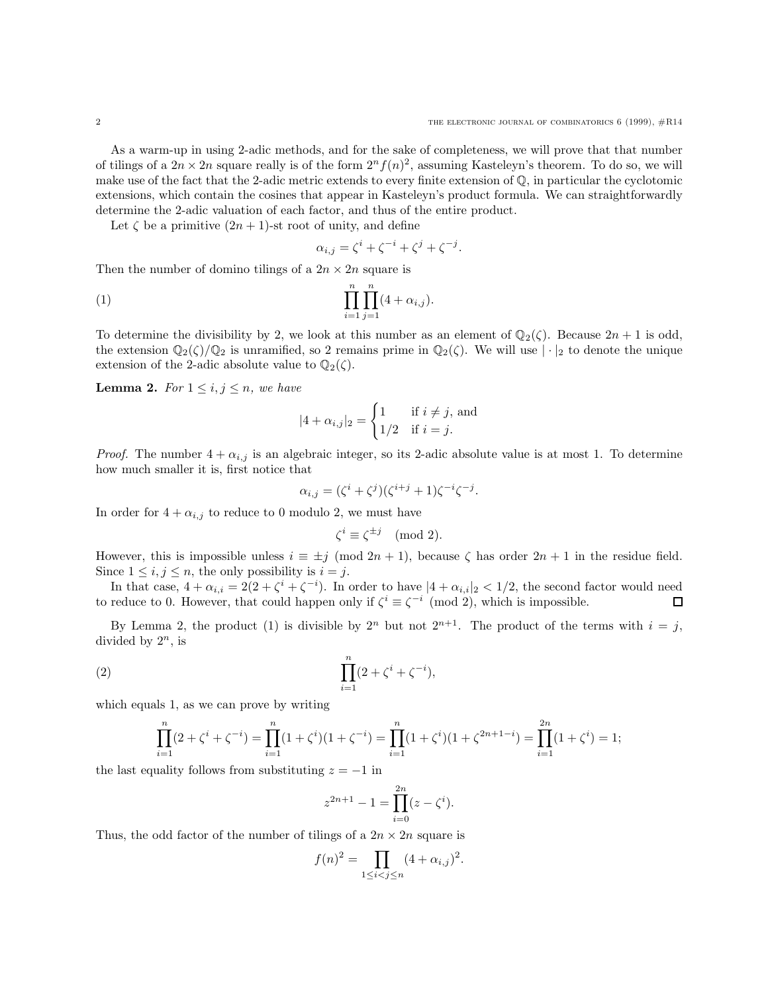As a warm-up in using 2-adic methods, and for the sake of completeness, we will prove that that number of tilings of a  $2n \times 2n$  square really is of the form  $2^n f(n)^2$ , assuming Kasteleyn's theorem. To do so, we will make use of the fact that the 2-adic metric extends to every finite extension of  $\mathbb{Q}$ , in particular the cyclotomic extensions, which contain the cosines that appear in Kasteleyn's product formula. We can straightforwardly determine the 2-adic valuation of each factor, and thus of the entire product.

Let  $\zeta$  be a primitive  $(2n + 1)$ -st root of unity, and define

$$
\alpha_{i,j} = \zeta^i + \zeta^{-i} + \zeta^j + \zeta^{-j}.
$$

Then the number of domino tilings of a  $2n \times 2n$  square is

(1) 
$$
\prod_{i=1}^{n} \prod_{j=1}^{n} (4 + \alpha_{i,j}).
$$

To determine the divisibility by 2, we look at this number as an element of  $\mathbb{Q}_2(\zeta)$ . Because  $2n + 1$  is odd, the extension  $\mathbb{Q}_2(\zeta)/\mathbb{Q}_2$  is unramified, so 2 remains prime in  $\mathbb{Q}_2(\zeta)$ . We will use  $|\cdot|_2$  to denote the unique extension of the 2-adic absolute value to  $\mathbb{Q}_2(\zeta)$ .

**Lemma 2.** For  $1 \leq i, j \leq n$ , we have

$$
|4 + \alpha_{i,j}|_2 = \begin{cases} 1 & \text{if } i \neq j, \text{ and} \\ 1/2 & \text{if } i = j. \end{cases}
$$

*Proof.* The number  $4 + \alpha_{i,j}$  is an algebraic integer, so its 2-adic absolute value is at most 1. To determine how much smaller it is, first notice that

$$
\alpha_{i,j} = (\zeta^i + \zeta^j)(\zeta^{i+j} + 1)\zeta^{-i}\zeta^{-j}.
$$

In order for  $4 + \alpha_{i,j}$  to reduce to 0 modulo 2, we must have

$$
\zeta^i \equiv \zeta^{\pm j} \pmod{2}.
$$

However, this is impossible unless  $i \equiv \pm j \pmod{2n+1}$ , because  $\zeta$  has order  $2n+1$  in the residue field. Since  $1 \leq i, j \leq n$ , the only possibility is  $i = j$ .

In that case,  $4 + \alpha_{i,i} = 2(2 + \zeta^i + \zeta^{-i})$ . In order to have  $|4 + \alpha_{i,i}|_2 < 1/2$ , the second factor would need to reduce to 0. However, that could happen only if  $\zeta^i \equiv \zeta^{-i} \pmod{2}$ , which is impossible.

By Lemma 2, the product (1) is divisible by  $2^n$  but not  $2^{n+1}$ . The product of the terms with  $i = j$ , divided by  $2^n$ , is

(2) 
$$
\prod_{i=1}^{n} (2 + \zeta^{i} + \zeta^{-i}),
$$

which equals 1, as we can prove by writing

$$
\prod_{i=1}^{n} (2 + \zeta^{i} + \zeta^{-i}) = \prod_{i=1}^{n} (1 + \zeta^{i})(1 + \zeta^{-i}) = \prod_{i=1}^{n} (1 + \zeta^{i})(1 + \zeta^{2n+1-i}) = \prod_{i=1}^{2n} (1 + \zeta^{i}) = 1;
$$

the last equality follows from substituting  $z = -1$  in

$$
z^{2n+1} - 1 = \prod_{i=0}^{2n} (z - \zeta^i).
$$

Thus, the odd factor of the number of tilings of a  $2n \times 2n$  square is

$$
f(n)^{2} = \prod_{1 \leq i < j \leq n} (4 + \alpha_{i,j})^{2}.
$$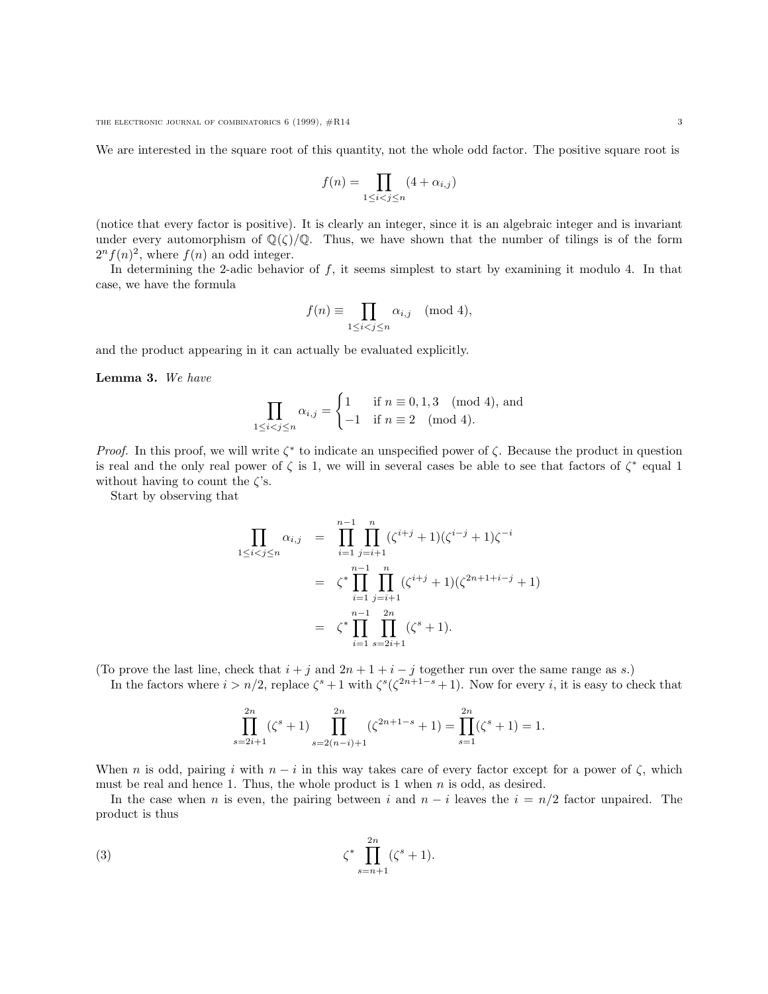We are interested in the square root of this quantity, not the whole odd factor. The positive square root is

$$
f(n) = \prod_{1 \le i < j \le n} (4 + \alpha_{i,j})
$$

(notice that every factor is positive). It is clearly an integer, since it is an algebraic integer and is invariant under every automorphism of  $\mathbb{Q}(\zeta)/\mathbb{Q}$ . Thus, we have shown that the number of tilings is of the form  $2<sup>n</sup>f(n)<sup>2</sup>$ , where  $f(n)$  an odd integer.

In determining the 2-adic behavior of f, it seems simplest to start by examining it modulo 4. In that case, we have the formula

$$
f(n) \equiv \prod_{1 \le i < j \le n} \alpha_{i,j} \pmod{4},
$$

and the product appearing in it can actually be evaluated explicitly.

**Lemma 3.** We have

$$
\prod_{1 \le i < j \le n} \alpha_{i,j} = \begin{cases} 1 & \text{if } n \equiv 0, 1, 3 \pmod{4}, \text{ and} \\ -1 & \text{if } n \equiv 2 \pmod{4}. \end{cases}
$$

*Proof.* In this proof, we will write  $\zeta^*$  to indicate an unspecified power of  $\zeta$ . Because the product in question is real and the only real power of  $\zeta$  is 1, we will in several cases be able to see that factors of  $\zeta^*$  equal 1 without having to count the  $\zeta$ 's.

Start by observing that

$$
\prod_{1 \leq i < j \leq n} \alpha_{i,j} = \prod_{i=1}^{n-1} \prod_{j=i+1}^{n} (\zeta^{i+j} + 1)(\zeta^{i-j} + 1)\zeta^{-i}
$$
\n
$$
= \zeta^* \prod_{i=1}^{n-1} \prod_{j=i+1}^{n} (\zeta^{i+j} + 1)(\zeta^{2n+1+i-j} + 1)
$$
\n
$$
= \zeta^* \prod_{i=1}^{n-1} \prod_{s=2i+1}^{2n} (\zeta^s + 1).
$$

(To prove the last line, check that  $i + j$  and  $2n + 1 + i - j$  together run over the same range as s.)

In the factors where  $i > n/2$ , replace  $\zeta^s + 1$  with  $\zeta^s(\zeta^{2n+1-s} + 1)$ . Now for every i, it is easy to check that

$$
\prod_{s=2i+1}^{2n} (\zeta^s + 1) \prod_{s=2(n-i)+1}^{2n} (\zeta^{2n+1-s} + 1) = \prod_{s=1}^{2n} (\zeta^s + 1) = 1.
$$

When n is odd, pairing i with  $n - i$  in this way takes care of every factor except for a power of  $\zeta$ , which must be real and hence 1. Thus, the whole product is 1 when  $n$  is odd, as desired.

In the case when n is even, the pairing between i and  $n - i$  leaves the  $i = n/2$  factor unpaired. The product is thus

(3) 
$$
\zeta^* \prod_{s=n+1}^{2n} (\zeta^s + 1).
$$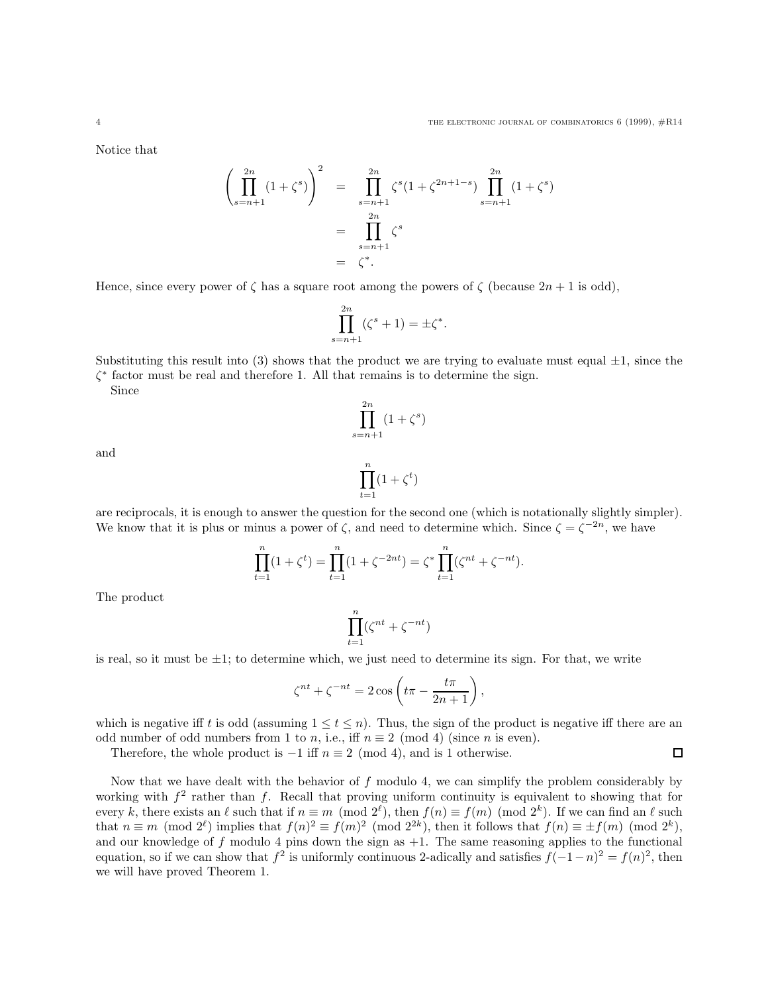$\Box$ 

Notice that

$$
\left(\prod_{s=n+1}^{2n} (1+\zeta^s)\right)^2 = \prod_{s=n+1}^{2n} \zeta^s (1+\zeta^{2n+1-s}) \prod_{s=n+1}^{2n} (1+\zeta^s)
$$

$$
= \prod_{s=n+1}^{2n} \zeta^s
$$

$$
= \zeta^*.
$$

Hence, since every power of  $\zeta$  has a square root among the powers of  $\zeta$  (because  $2n + 1$  is odd),

$$
\prod_{s=n+1}^{2n} (\zeta^s + 1) = \pm \zeta^*.
$$

Substituting this result into (3) shows that the product we are trying to evaluate must equal  $\pm 1$ , since the  $\zeta^*$  factor must be real and therefore 1. All that remains is to determine the sign.

 $(1+\zeta^s)$ 

 $\Pi$  $_{2n}$ 

 $s=n+1$ 

Since

and

$$
\prod_{t=1}^n (1+\zeta^t)
$$

are reciprocals, it is enough to answer the question for the second one (which is notationally slightly simpler). We know that it is plus or minus a power of  $\zeta$ , and need to determine which. Since  $\zeta = \zeta^{-2n}$ , we have

$$
\prod_{t=1}^{n} (1 + \zeta^{t}) = \prod_{t=1}^{n} (1 + \zeta^{-2nt}) = \zeta^{*} \prod_{t=1}^{n} (\zeta^{nt} + \zeta^{-nt}).
$$

The product

 $\prod^n$  $t=1$  $(\zeta^{nt} + \zeta^{-nt})$ 

is real, so it must be  $\pm 1$ ; to determine which, we just need to determine its sign. For that, we write

$$
\zeta^{nt} + \zeta^{-nt} = 2\cos\left(t\pi - \frac{t\pi}{2n+1}\right),\,
$$

which is negative iff t is odd (assuming  $1 \le t \le n$ ). Thus, the sign of the product is negative iff there are an odd number of odd numbers from 1 to n, i.e., iff  $n \equiv 2 \pmod{4}$  (since n is even).

Therefore, the whole product is  $-1$  iff  $n \equiv 2 \pmod{4}$ , and is 1 otherwise.

Now that we have dealt with the behavior of f modulo 4, we can simplify the problem considerably by working with  $f^2$  rather than f. Recall that proving uniform continuity is equivalent to showing that for every k, there exists an  $\ell$  such that if  $n \equiv m \pmod{2^{\ell}}$ , then  $f(n) \equiv f(m) \pmod{2^k}$ . If we can find an  $\ell$  such that  $n \equiv m \pmod{2^{\ell}}$  implies that  $f(n)^2 \equiv f(m)^2 \pmod{2^{2k}}$ , then it follows that  $f(n) \equiv \pm f(m) \pmod{2^k}$ , and our knowledge of f modulo 4 pins down the sign as  $+1$ . The same reasoning applies to the functional equation, so if we can show that  $f^2$  is uniformly continuous 2-adically and satisfies  $f(-1-n)^2 = f(n)^2$ , then we will have proved Theorem 1.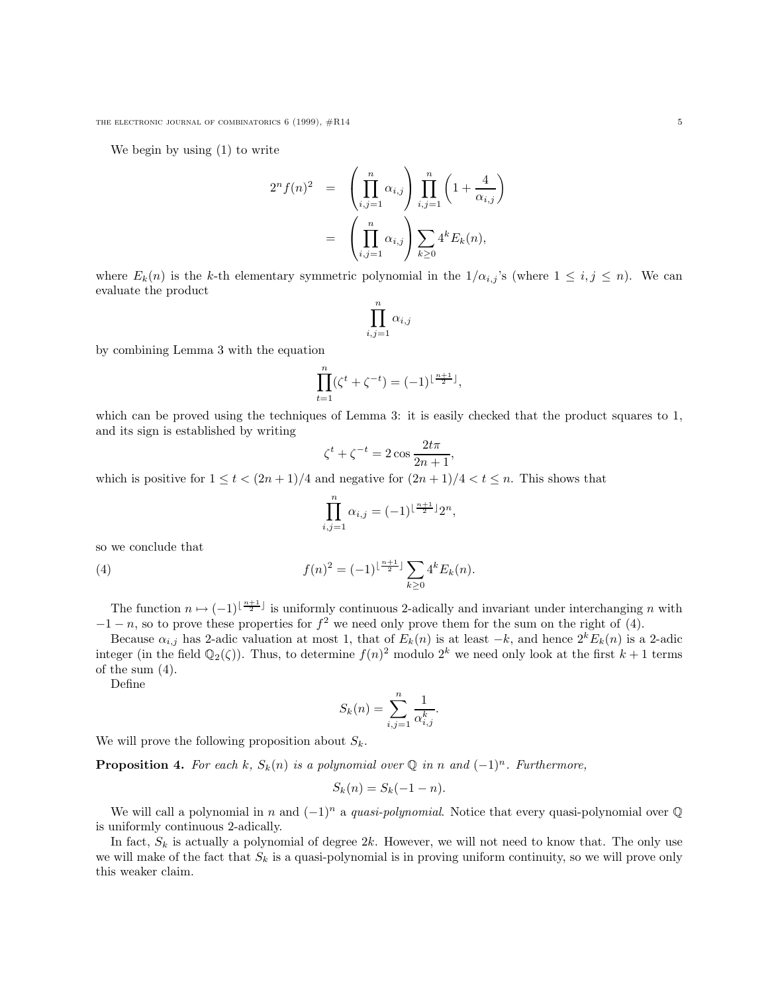We begin by using (1) to write

$$
2^{n} f(n)^{2} = \left(\prod_{i,j=1}^{n} \alpha_{i,j}\right) \prod_{i,j=1}^{n} \left(1 + \frac{4}{\alpha_{i,j}}\right)
$$

$$
= \left(\prod_{i,j=1}^{n} \alpha_{i,j}\right) \sum_{k\geq 0} 4^{k} E_{k}(n),
$$

where  $E_k(n)$  is the k-th elementary symmetric polynomial in the  $1/\alpha_{i,j}$ 's (where  $1 \leq i,j \leq n$ ). We can evaluate the product

$$
\prod_{i,j=1}^n \alpha_{i,j}
$$

by combining Lemma 3 with the equation

$$
\prod_{t=1}^{n} (\zeta^{t} + \zeta^{-t}) = (-1)^{\lfloor \frac{n+1}{2} \rfloor},
$$

which can be proved using the techniques of Lemma 3: it is easily checked that the product squares to 1, and its sign is established by writing

$$
\zeta^t + \zeta^{-t} = 2\cos\frac{2t\pi}{2n+1},
$$

which is positive for  $1 \le t < (2n+1)/4$  and negative for  $(2n+1)/4 < t \le n$ . This shows that

$$
\prod_{i,j=1}^n \alpha_{i,j} = (-1)^{\lfloor \frac{n+1}{2} \rfloor} 2^n,
$$

so we conclude that

(4) 
$$
f(n)^{2} = (-1)^{\lfloor \frac{n+1}{2} \rfloor} \sum_{k \geq 0} 4^{k} E_{k}(n).
$$

The function  $n \mapsto (-1)^{\lfloor \frac{n+1}{2} \rfloor}$  is uniformly continuous 2-adically and invariant under interchanging n with  $-1-n$ , so to prove these properties for  $f^2$  we need only prove them for the sum on the right of (4).

Because  $\alpha_{i,j}$  has 2-adic valuation at most 1, that of  $E_k(n)$  is at least  $-k$ , and hence  $2^k E_k(n)$  is a 2-adic integer (in the field  $\mathbb{Q}_2(\zeta)$ ). Thus, to determine  $f(n)^2$  modulo  $2^k$  we need only look at the first  $k+1$  terms of the sum (4).

Define

$$
S_k(n) = \sum_{i,j=1}^n \frac{1}{\alpha_{i,j}^k}.
$$

We will prove the following proposition about  $S_k$ .

**Proposition 4.** For each k,  $S_k(n)$  is a polynomial over  $\mathbb Q$  in n and  $(-1)^n$ . Furthermore,

$$
S_k(n) = S_k(-1 - n).
$$

We will call a polynomial in n and  $(-1)^n$  a quasi-polynomial. Notice that every quasi-polynomial over  $\mathbb Q$ is uniformly continuous 2-adically.

In fact,  $S_k$  is actually a polynomial of degree  $2k$ . However, we will not need to know that. The only use we will make of the fact that  $S_k$  is a quasi-polynomial is in proving uniform continuity, so we will prove only this weaker claim.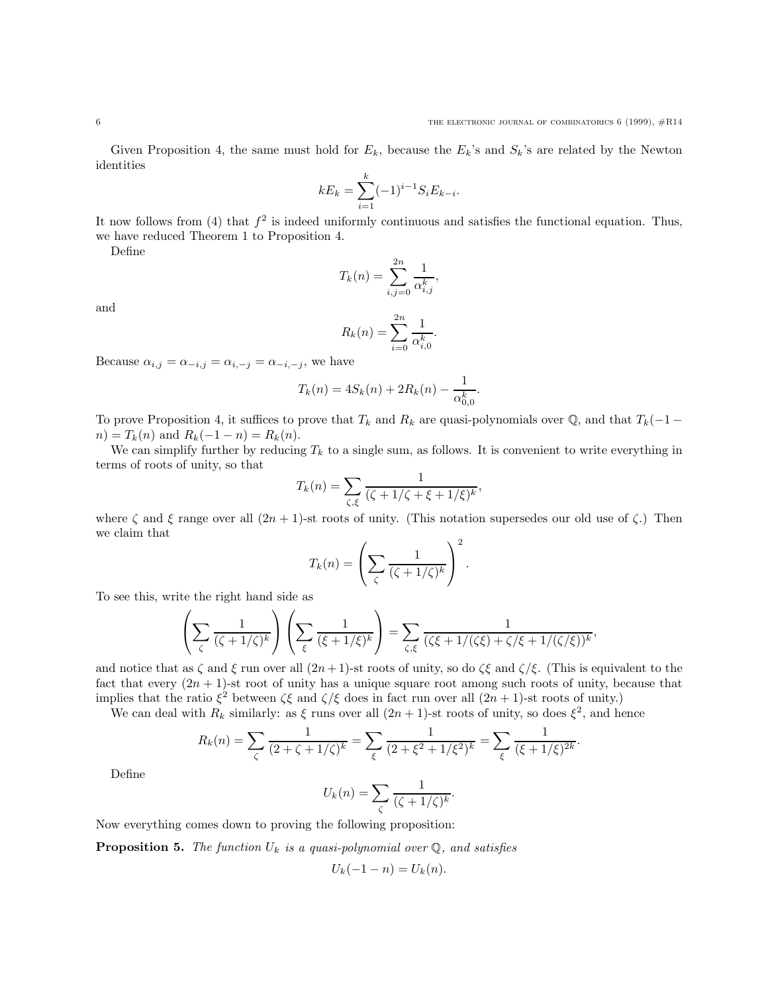Given Proposition 4, the same must hold for  $E_k$ , because the  $E_k$ 's and  $S_k$ 's are related by the Newton identities

$$
kE_k = \sum_{i=1}^k (-1)^{i-1} S_i E_{k-i}.
$$

It now follows from (4) that  $f^2$  is indeed uniformly continuous and satisfies the functional equation. Thus, we have reduced Theorem 1 to Proposition 4.

Define

and

$$
T_k(n) = \sum_{i,j=0}^{2n} \frac{1}{\alpha_{i,j}^k},
$$

 $\mathbb{F}$  x  $\mathbb{F}$ 

$$
R_k(n) = \sum_{i=0}^{2n} \frac{1}{\alpha_{i,0}^k}.
$$

Because  $\alpha_{i,j} = \alpha_{-i,j} = \alpha_{i,-j} = \alpha_{-i,-j}$ , we have

$$
T_k(n) = 4S_k(n) + 2R_k(n) - \frac{1}{\alpha_{0,0}^k}.
$$

To prove Proposition 4, it suffices to prove that  $T_k$  and  $R_k$  are quasi-polynomials over  $\mathbb{Q}$ , and that  $T_k(-1$  $n) = T_k(n)$  and  $R_k(-1 - n) = R_k(n)$ .

We can simplify further by reducing  $T_k$  to a single sum, as follows. It is convenient to write everything in terms of roots of unity, so that

$$
T_k(n) = \sum_{\zeta,\xi} \frac{1}{(\zeta + 1/\zeta + \xi + 1/\xi)^k},
$$

where  $\zeta$  and  $\xi$  range over all  $(2n + 1)$ -st roots of unity. (This notation supersedes our old use of  $\zeta$ .) Then we claim that

$$
T_k(n) = \left(\sum_{\zeta} \frac{1}{(\zeta + 1/\zeta)^k}\right)^2.
$$

To see this, write the right hand side as

$$
\left(\sum_{\zeta} \frac{1}{(\zeta + 1/\zeta)^k}\right) \left(\sum_{\xi} \frac{1}{(\xi + 1/\xi)^k}\right) = \sum_{\zeta, \xi} \frac{1}{(\zeta \xi + 1/(\zeta \xi) + \zeta/\xi + 1/(\zeta/\xi))^k},
$$

and notice that as  $\zeta$  and  $\xi$  run over all  $(2n+1)$ -st roots of unity, so do  $\zeta\xi$  and  $\zeta/\xi$ . (This is equivalent to the fact that every  $(2n + 1)$ -st root of unity has a unique square root among such roots of unity, because that implies that the ratio  $\xi^2$  between  $\zeta \xi$  and  $\zeta/\xi$  does in fact run over all  $(2n + 1)$ -st roots of unity.)

We can deal with  $R_k$  similarly: as  $\xi$  runs over all  $(2n + 1)$ -st roots of unity, so does  $\xi^2$ , and hence

$$
R_k(n) = \sum_{\zeta} \frac{1}{(2+\zeta+1/\zeta)^k} = \sum_{\xi} \frac{1}{(2+\xi^2+1/\xi^2)^k} = \sum_{\xi} \frac{1}{(\xi+1/\xi)^{2k}}.
$$

Define

$$
U_k(n) = \sum_{\zeta} \frac{1}{(\zeta + 1/\zeta)^k}.
$$

Now everything comes down to proving the following proposition:

**Proposition 5.** The function  $U_k$  is a quasi-polynomial over  $\mathbb{Q}$ , and satisfies

$$
U_k(-1 - n) = U_k(n).
$$